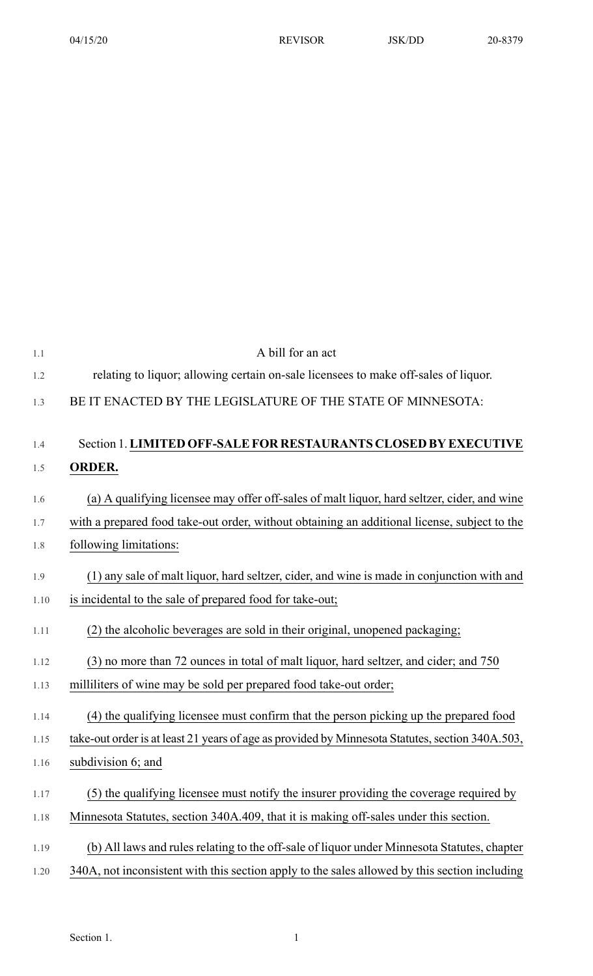| 1.1  | A bill for an act                                                                               |
|------|-------------------------------------------------------------------------------------------------|
| 1.2  | relating to liquor; allowing certain on-sale licensees to make off-sales of liquor.             |
| 1.3  | BE IT ENACTED BY THE LEGISLATURE OF THE STATE OF MINNESOTA:                                     |
|      |                                                                                                 |
| 1.4  | Section 1. LIMITED OFF-SALE FOR RESTAURANTS CLOSED BY EXECUTIVE                                 |
| 1.5  | <b>ORDER.</b>                                                                                   |
| 1.6  | (a) A qualifying licensee may offer off-sales of malt liquor, hard seltzer, cider, and wine     |
| 1.7  | with a prepared food take-out order, without obtaining an additional license, subject to the    |
| 1.8  | following limitations:                                                                          |
| 1.9  | (1) any sale of malt liquor, hard seltzer, cider, and wine is made in conjunction with and      |
| 1.10 | is incidental to the sale of prepared food for take-out;                                        |
| 1.11 | (2) the alcoholic beverages are sold in their original, unopened packaging;                     |
| 1.12 | (3) no more than 72 ounces in total of malt liquor, hard seltzer, and cider; and 750            |
| 1.13 | milliliters of wine may be sold per prepared food take-out order;                               |
| 1.14 | (4) the qualifying licensee must confirm that the person picking up the prepared food           |
| 1.15 | take-out order is at least 21 years of age as provided by Minnesota Statutes, section 340A.503, |
| 1.16 | subdivision 6; and                                                                              |
| 1.17 | (5) the qualifying licensee must notify the insurer providing the coverage required by          |
| 1.18 | Minnesota Statutes, section 340A.409, that it is making off-sales under this section.           |
| 1.19 | (b) All laws and rules relating to the off-sale of liquor under Minnesota Statutes, chapter     |
| 1.20 | 340A, not inconsistent with this section apply to the sales allowed by this section including   |